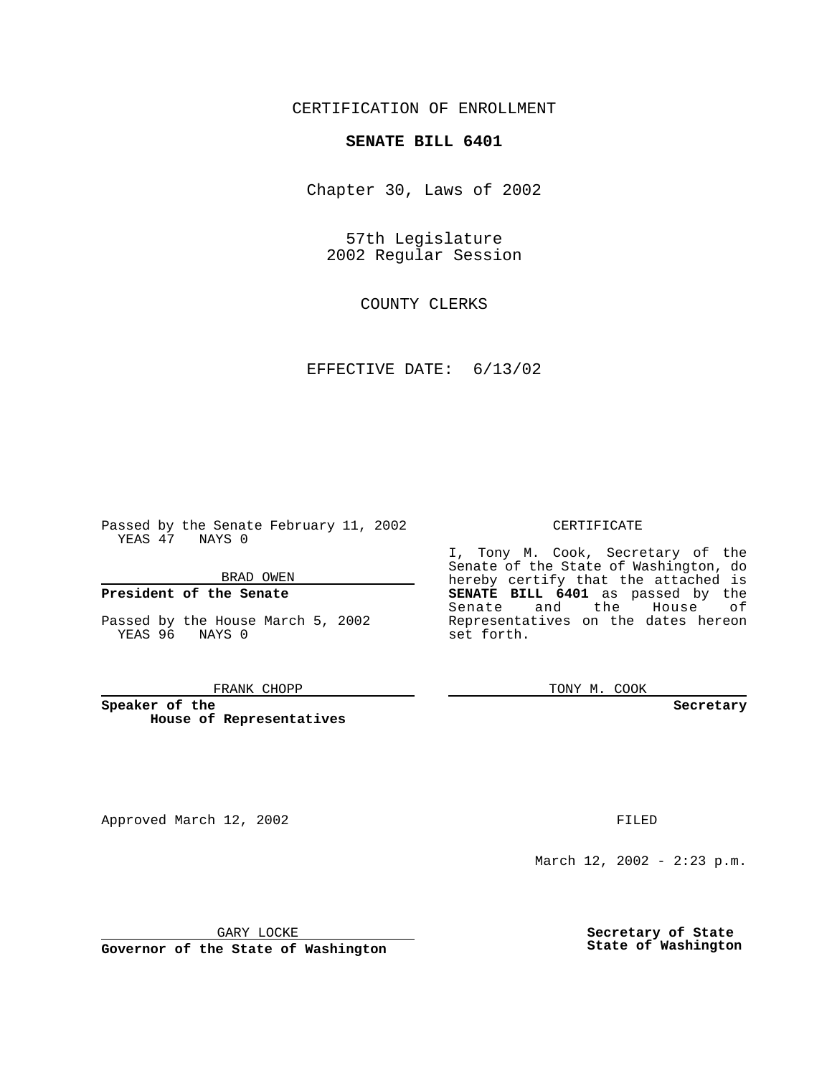CERTIFICATION OF ENROLLMENT

# **SENATE BILL 6401**

Chapter 30, Laws of 2002

57th Legislature 2002 Regular Session

COUNTY CLERKS

EFFECTIVE DATE: 6/13/02

Passed by the Senate February 11, 2002 YEAS 47 NAYS 0

BRAD OWEN

### **President of the Senate**

Passed by the House March 5, 2002 YEAS 96 NAYS 0

#### FRANK CHOPP

**Speaker of the House of Representatives**

Approved March 12, 2002 **FILED** 

#### CERTIFICATE

I, Tony M. Cook, Secretary of the Senate of the State of Washington, do hereby certify that the attached is **SENATE BILL 6401** as passed by the Senate and the House of Representatives on the dates hereon set forth.

TONY M. COOK

**Secretary**

March 12, 2002 - 2:23 p.m.

GARY LOCKE

**Governor of the State of Washington**

**Secretary of State State of Washington**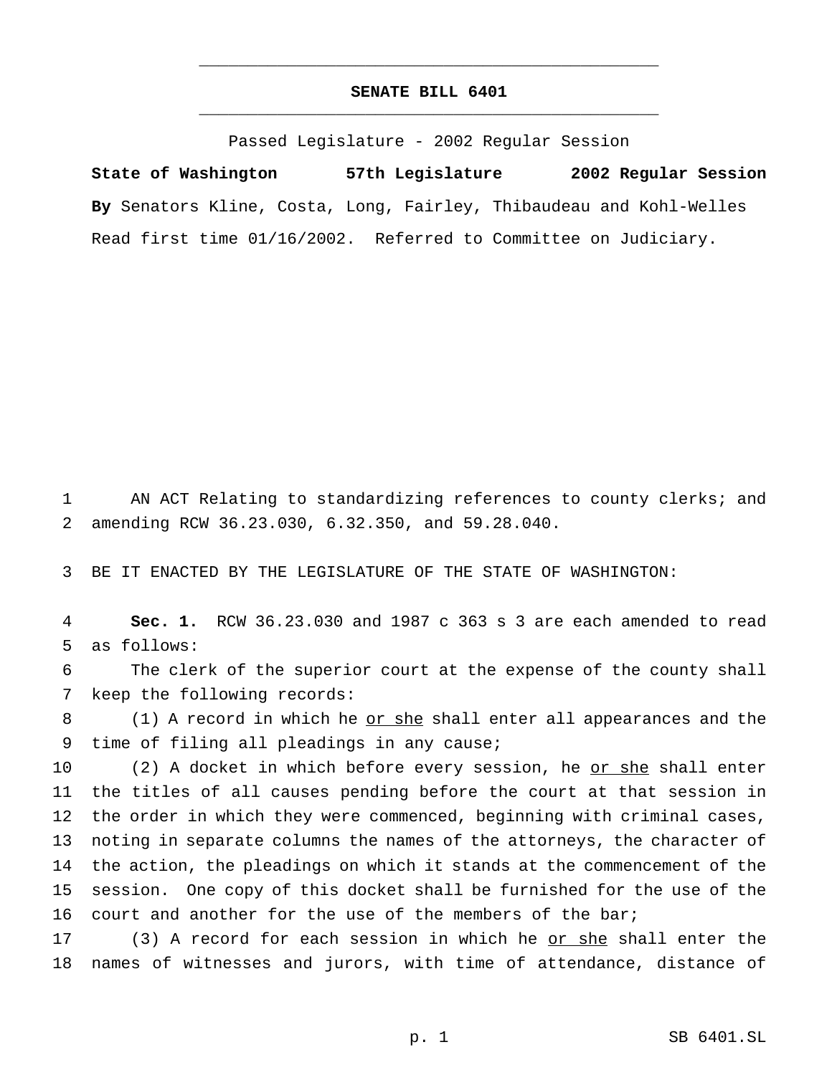## **SENATE BILL 6401** \_\_\_\_\_\_\_\_\_\_\_\_\_\_\_\_\_\_\_\_\_\_\_\_\_\_\_\_\_\_\_\_\_\_\_\_\_\_\_\_\_\_\_\_\_\_\_

\_\_\_\_\_\_\_\_\_\_\_\_\_\_\_\_\_\_\_\_\_\_\_\_\_\_\_\_\_\_\_\_\_\_\_\_\_\_\_\_\_\_\_\_\_\_\_

Passed Legislature - 2002 Regular Session

**State of Washington 57th Legislature 2002 Regular Session By** Senators Kline, Costa, Long, Fairley, Thibaudeau and Kohl-Welles Read first time 01/16/2002. Referred to Committee on Judiciary.

1 AN ACT Relating to standardizing references to county clerks; and 2 amending RCW 36.23.030, 6.32.350, and 59.28.040.

3 BE IT ENACTED BY THE LEGISLATURE OF THE STATE OF WASHINGTON:

4 **Sec. 1.** RCW 36.23.030 and 1987 c 363 s 3 are each amended to read 5 as follows:

6 The clerk of the superior court at the expense of the county shall 7 keep the following records:

8 (1) A record in which he <u>or she</u> shall enter all appearances and the 9 time of filing all pleadings in any cause;

10 (2) A docket in which before every session, he or she shall enter the titles of all causes pending before the court at that session in the order in which they were commenced, beginning with criminal cases, noting in separate columns the names of the attorneys, the character of the action, the pleadings on which it stands at the commencement of the session. One copy of this docket shall be furnished for the use of the 16 court and another for the use of the members of the bar;

17 (3) A record for each session in which he <u>or she</u> shall enter the 18 names of witnesses and jurors, with time of attendance, distance of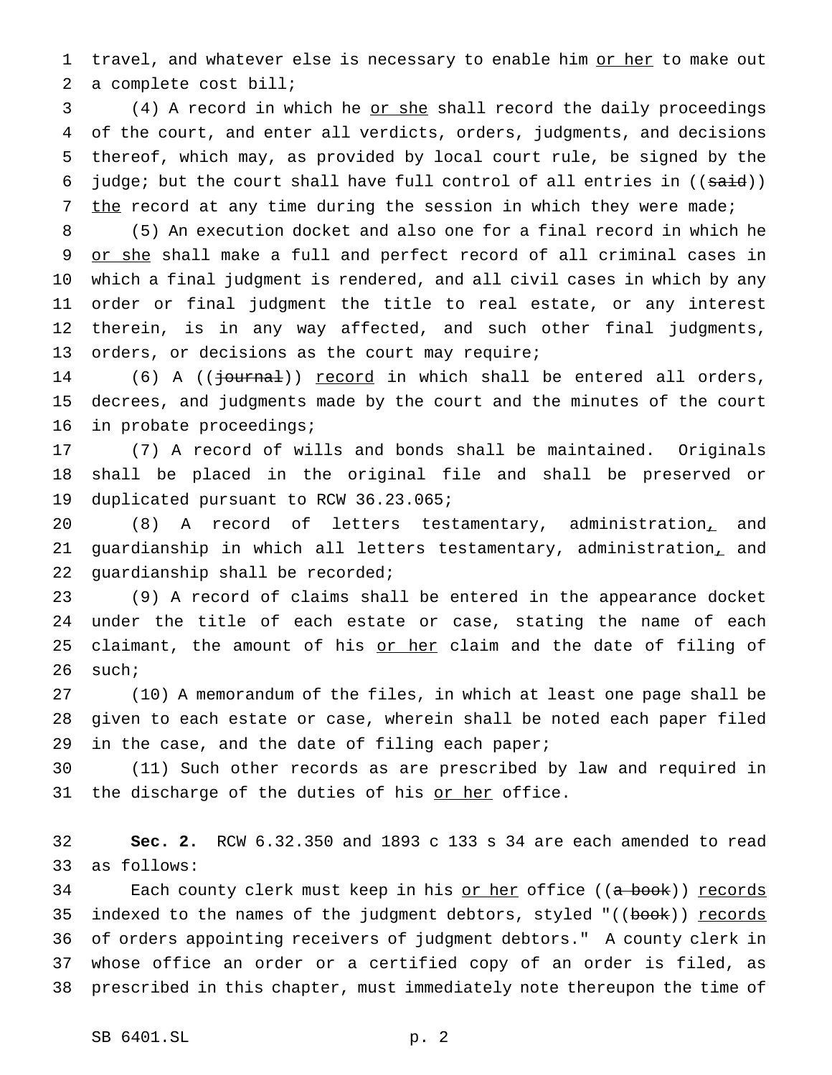1 travel, and whatever else is necessary to enable him or her to make out a complete cost bill;

3 (4) A record in which he <u>or she</u> shall record the daily proceedings of the court, and enter all verdicts, orders, judgments, and decisions thereof, which may, as provided by local court rule, be signed by the 6 judge; but the court shall have full control of all entries in  $((\text{said}))$ 7 the record at any time during the session in which they were made;

 (5) An execution docket and also one for a final record in which he 9 or she shall make a full and perfect record of all criminal cases in which a final judgment is rendered, and all civil cases in which by any order or final judgment the title to real estate, or any interest therein, is in any way affected, and such other final judgments, orders, or decisions as the court may require;

14 (6) A (( $\frac{3}{10}$  (( $\frac{1}{10}$ ) record in which shall be entered all orders, decrees, and judgments made by the court and the minutes of the court in probate proceedings;

 (7) A record of wills and bonds shall be maintained. Originals shall be placed in the original file and shall be preserved or duplicated pursuant to RCW 36.23.065;

 (8) A record of letters testamentary, administration, and guardianship in which all letters testamentary, administration, and guardianship shall be recorded;

 (9) A record of claims shall be entered in the appearance docket under the title of each estate or case, stating the name of each 25 claimant, the amount of his or her claim and the date of filing of such;

 (10) A memorandum of the files, in which at least one page shall be given to each estate or case, wherein shall be noted each paper filed 29 in the case, and the date of filing each paper;

 (11) Such other records as are prescribed by law and required in 31 the discharge of the duties of his or her office.

 **Sec. 2.** RCW 6.32.350 and 1893 c 133 s 34 are each amended to read as follows:

34 Each county clerk must keep in his or her office ((a book)) records 35 indexed to the names of the judgment debtors, styled "((book)) records of orders appointing receivers of judgment debtors." A county clerk in whose office an order or a certified copy of an order is filed, as prescribed in this chapter, must immediately note thereupon the time of